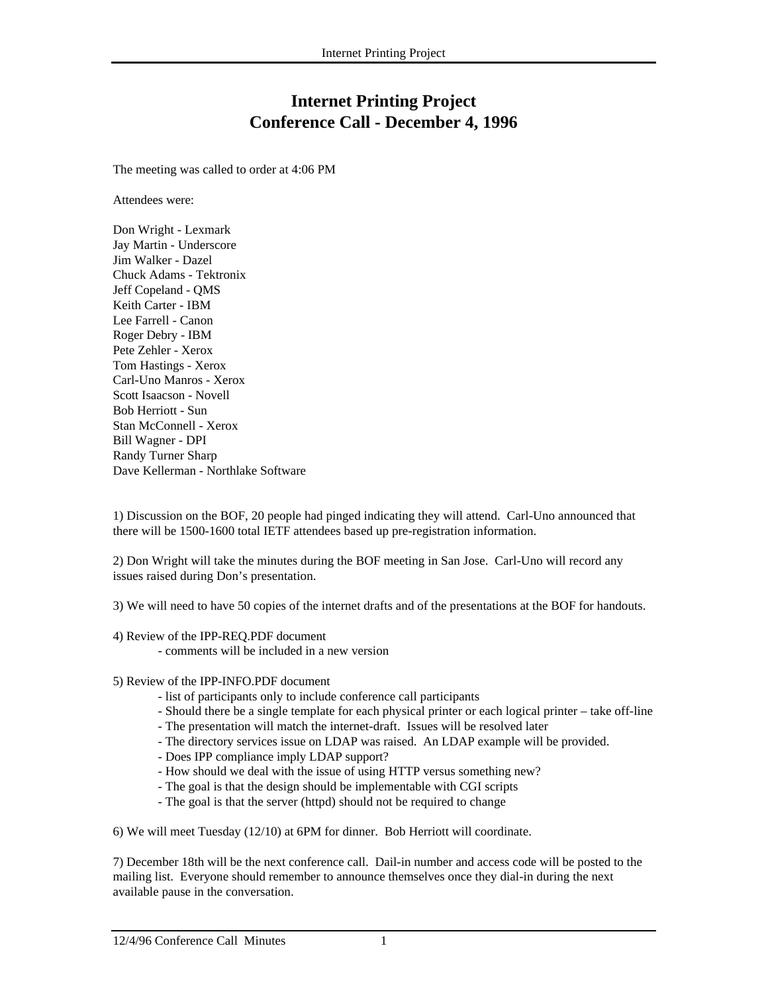## **Internet Printing Project Conference Call - December 4, 1996**

The meeting was called to order at 4:06 PM

Attendees were:

Don Wright - Lexmark Jay Martin - Underscore Jim Walker - Dazel Chuck Adams - Tektronix Jeff Copeland - QMS Keith Carter - IBM Lee Farrell - Canon Roger Debry - IBM Pete Zehler - Xerox Tom Hastings - Xerox Carl-Uno Manros - Xerox Scott Isaacson - Novell Bob Herriott - Sun Stan McConnell - Xerox Bill Wagner - DPI Randy Turner Sharp Dave Kellerman - Northlake Software

1) Discussion on the BOF, 20 people had pinged indicating they will attend. Carl-Uno announced that there will be 1500-1600 total IETF attendees based up pre-registration information.

2) Don Wright will take the minutes during the BOF meeting in San Jose. Carl-Uno will record any issues raised during Don's presentation.

3) We will need to have 50 copies of the internet drafts and of the presentations at the BOF for handouts.

- 4) Review of the IPP-REQ.PDF document
	- comments will be included in a new version
- 5) Review of the IPP-INFO.PDF document
	- list of participants only to include conference call participants
	- Should there be a single template for each physical printer or each logical printer take off-line
	- The presentation will match the internet-draft. Issues will be resolved later
	- The directory services issue on LDAP was raised. An LDAP example will be provided.
	- Does IPP compliance imply LDAP support?
	- How should we deal with the issue of using HTTP versus something new?
	- The goal is that the design should be implementable with CGI scripts
	- The goal is that the server (httpd) should not be required to change

6) We will meet Tuesday (12/10) at 6PM for dinner. Bob Herriott will coordinate.

7) December 18th will be the next conference call. Dail-in number and access code will be posted to the mailing list. Everyone should remember to announce themselves once they dial-in during the next available pause in the conversation.